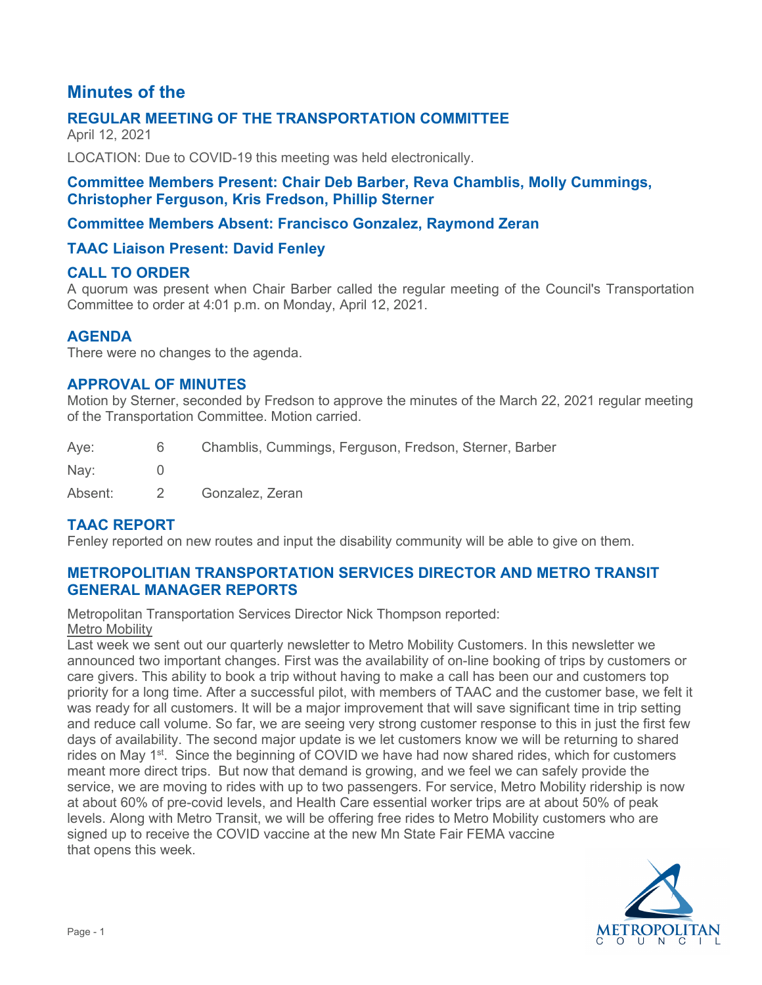# **Minutes of the**

# **REGULAR MEETING OF THE TRANSPORTATION COMMITTEE**

April 12, 2021

LOCATION: Due to COVID-19 this meeting was held electronically.

### **Committee Members Present: Chair Deb Barber, Reva Chamblis, Molly Cummings, Christopher Ferguson, Kris Fredson, Phillip Sterner**

# **Committee Members Absent: Francisco Gonzalez, Raymond Zeran**

# **TAAC Liaison Present: David Fenley**

### **CALL TO ORDER**

A quorum was present when Chair Barber called the regular meeting of the Council's Transportation Committee to order at 4:01 p.m. on Monday, April 12, 2021.

### **AGENDA**

There were no changes to the agenda.

### **APPROVAL OF MINUTES**

Motion by Sterner, seconded by Fredson to approve the minutes of the March 22, 2021 regular meeting of the Transportation Committee. Motion carried.

| Aye:    | 6        | Chamblis, Cummings, Ferguson, Fredson, Sterner, Barber |
|---------|----------|--------------------------------------------------------|
| Nay:    |          |                                                        |
| Absent: | $\sim$ 2 | Gonzalez, Zeran                                        |

# **TAAC REPORT**

Fenley reported on new routes and input the disability community will be able to give on them.

# **METROPOLITIAN TRANSPORTATION SERVICES DIRECTOR AND METRO TRANSIT GENERAL MANAGER REPORTS**

Metropolitan Transportation Services Director Nick Thompson reported: Metro Mobility

Last week we sent out our quarterly newsletter to Metro Mobility Customers. In this newsletter we announced two important changes. First was the availability of on-line booking of trips by customers or care givers. This ability to book a trip without having to make a call has been our and customers top priority for a long time. After a successful pilot, with members of TAAC and the customer base, we felt it was ready for all customers. It will be a major improvement that will save significant time in trip setting and reduce call volume. So far, we are seeing very strong customer response to this in just the first few days of availability. The second major update is we let customers know we will be returning to shared rides on May 1<sup>st</sup>. Since the beginning of COVID we have had now shared rides, which for customers meant more direct trips. But now that demand is growing, and we feel we can safely provide the service, we are moving to rides with up to two passengers. For service, Metro Mobility ridership is now at about 60% of pre-covid levels, and Health Care essential worker trips are at about 50% of peak levels. Along with Metro Transit, we will be offering free rides to Metro Mobility customers who are signed up to receive the COVID vaccine at the new Mn State Fair FEMA vaccine that opens this week.

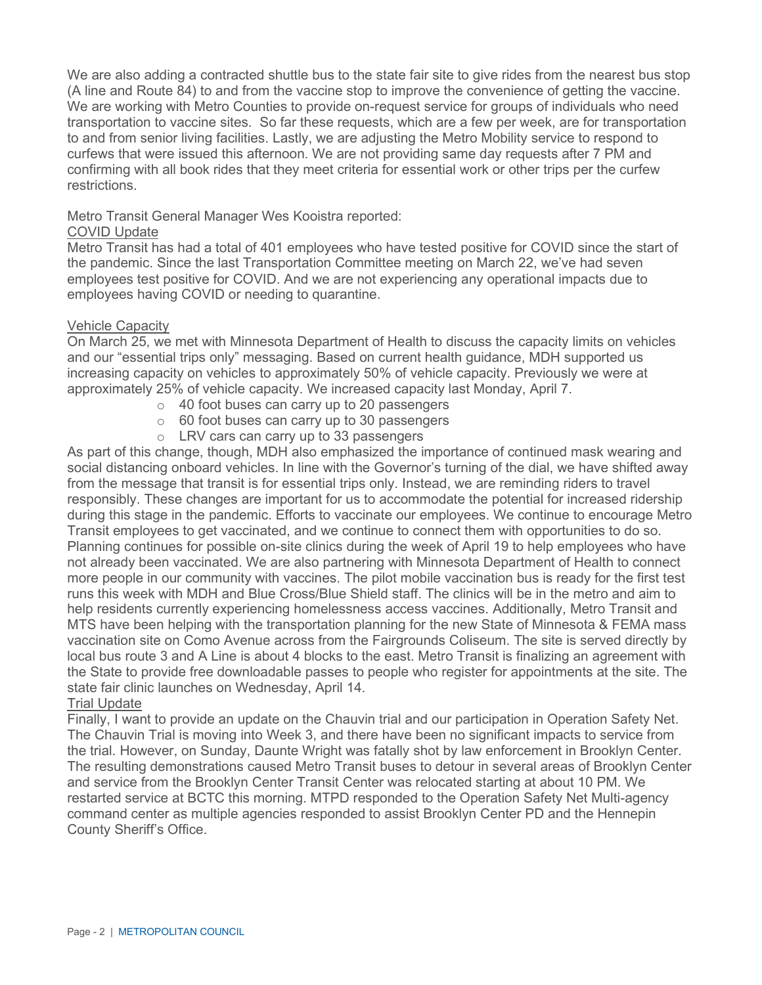We are also adding a contracted shuttle bus to the state fair site to give rides from the nearest bus stop (A line and Route 84) to and from the vaccine stop to improve the convenience of getting the vaccine. We are working with Metro Counties to provide on-request service for groups of individuals who need transportation to vaccine sites. So far these requests, which are a few per week, are for transportation to and from senior living facilities. Lastly, we are adjusting the Metro Mobility service to respond to curfews that were issued this afternoon. We are not providing same day requests after 7 PM and confirming with all book rides that they meet criteria for essential work or other trips per the curfew restrictions.

#### Metro Transit General Manager Wes Kooistra reported:

#### COVID Update

Metro Transit has had a total of 401 employees who have tested positive for COVID since the start of the pandemic. Since the last Transportation Committee meeting on March 22, we've had seven employees test positive for COVID. And we are not experiencing any operational impacts due to employees having COVID or needing to quarantine.

#### Vehicle Capacity

On March 25, we met with Minnesota Department of Health to discuss the capacity limits on vehicles and our "essential trips only" messaging. Based on current health guidance, MDH supported us increasing capacity on vehicles to approximately 50% of vehicle capacity. Previously we were at approximately 25% of vehicle capacity. We increased capacity last Monday, April 7.

- o 40 foot buses can carry up to 20 passengers
- $\circ$  60 foot buses can carry up to 30 passengers
- o LRV cars can carry up to 33 passengers

As part of this change, though, MDH also emphasized the importance of continued mask wearing and social distancing onboard vehicles. In line with the Governor's turning of the dial, we have shifted away from the message that transit is for essential trips only. Instead, we are reminding riders to travel responsibly. These changes are important for us to accommodate the potential for increased ridership during this stage in the pandemic. Efforts to vaccinate our employees. We continue to encourage Metro Transit employees to get vaccinated, and we continue to connect them with opportunities to do so. Planning continues for possible on-site clinics during the week of April 19 to help employees who have not already been vaccinated. We are also partnering with Minnesota Department of Health to connect more people in our community with vaccines. The pilot mobile vaccination bus is ready for the first test runs this week with MDH and Blue Cross/Blue Shield staff. The clinics will be in the metro and aim to help residents currently experiencing homelessness access vaccines. Additionally, Metro Transit and MTS have been helping with the transportation planning for the new State of Minnesota & FEMA mass vaccination site on Como Avenue across from the Fairgrounds Coliseum. The site is served directly by local bus route 3 and A Line is about 4 blocks to the east. Metro Transit is finalizing an agreement with the State to provide free downloadable passes to people who register for appointments at the site. The state fair clinic launches on Wednesday, April 14.

#### Trial Update

Finally, I want to provide an update on the Chauvin trial and our participation in Operation Safety Net. The Chauvin Trial is moving into Week 3, and there have been no significant impacts to service from the trial. However, on Sunday, Daunte Wright was fatally shot by law enforcement in Brooklyn Center. The resulting demonstrations caused Metro Transit buses to detour in several areas of Brooklyn Center and service from the Brooklyn Center Transit Center was relocated starting at about 10 PM. We restarted service at BCTC this morning. MTPD responded to the Operation Safety Net Multi-agency command center as multiple agencies responded to assist Brooklyn Center PD and the Hennepin County Sheriff's Office.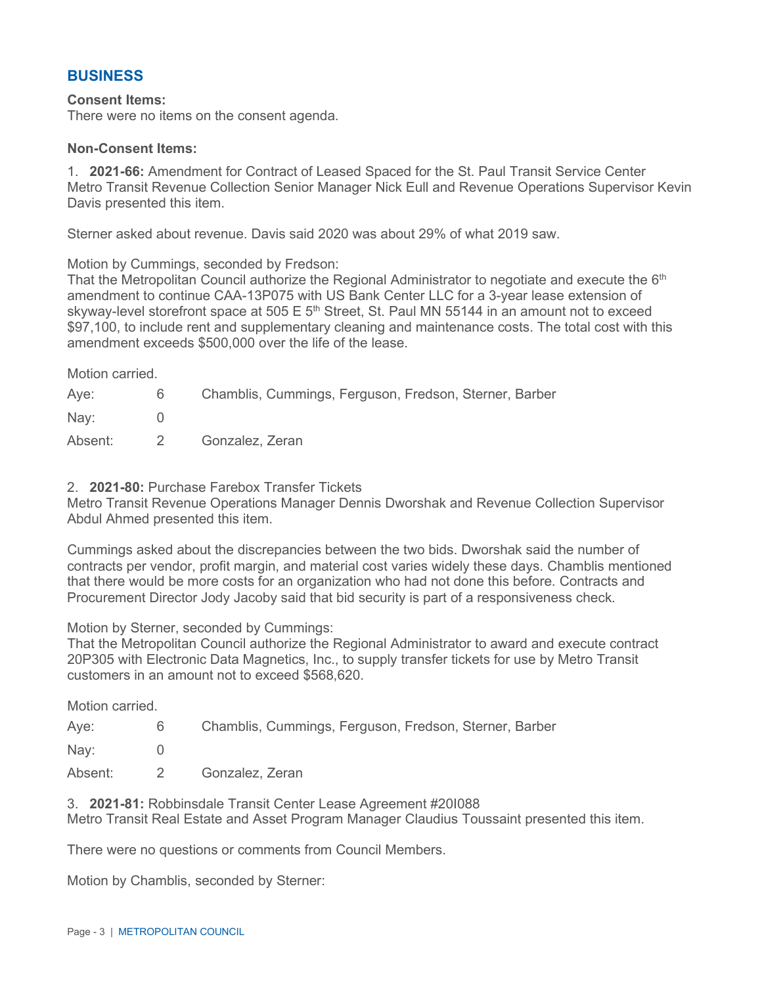# **BUSINESS**

#### **Consent Items:**

There were no items on the consent agenda.

#### **Non-Consent Items:**

1. **2021-66:** Amendment for Contract of Leased Spaced for the St. Paul Transit Service Center Metro Transit Revenue Collection Senior Manager Nick Eull and Revenue Operations Supervisor Kevin Davis presented this item.

Sterner asked about revenue. Davis said 2020 was about 29% of what 2019 saw.

Motion by Cummings, seconded by Fredson:

That the Metropolitan Council authorize the Regional Administrator to negotiate and execute the  $6<sup>th</sup>$ amendment to continue CAA-13P075 with US Bank Center LLC for a 3-year lease extension of skyway-level storefront space at 505 E 5<sup>th</sup> Street, St. Paul MN 55144 in an amount not to exceed \$97,100, to include rent and supplementary cleaning and maintenance costs. The total cost with this amendment exceeds \$500,000 over the life of the lease.

Motion carried.

| Aye:    | 6.       | Chamblis, Cummings, Ferguson, Fredson, Sterner, Barber |
|---------|----------|--------------------------------------------------------|
| Nay:    |          |                                                        |
| Absent: | $\sim$ 2 | Gonzalez, Zeran                                        |

2. **2021-80:** Purchase Farebox Transfer Tickets

Metro Transit Revenue Operations Manager Dennis Dworshak and Revenue Collection Supervisor Abdul Ahmed presented this item.

Cummings asked about the discrepancies between the two bids. Dworshak said the number of contracts per vendor, profit margin, and material cost varies widely these days. Chamblis mentioned that there would be more costs for an organization who had not done this before. Contracts and Procurement Director Jody Jacoby said that bid security is part of a responsiveness check.

Motion by Sterner, seconded by Cummings:

That the Metropolitan Council authorize the Regional Administrator to award and execute contract 20P305 with Electronic Data Magnetics, Inc., to supply transfer tickets for use by Metro Transit customers in an amount not to exceed \$568,620.

Motion carried.

Aye: 6 Chamblis, Cummings, Ferguson, Fredson, Sterner, Barber

Nay: 0

Absent: 2 Gonzalez, Zeran

3. **2021-81:** Robbinsdale Transit Center Lease Agreement #20I088 Metro Transit Real Estate and Asset Program Manager Claudius Toussaint presented this item.

There were no questions or comments from Council Members.

Motion by Chamblis, seconded by Sterner: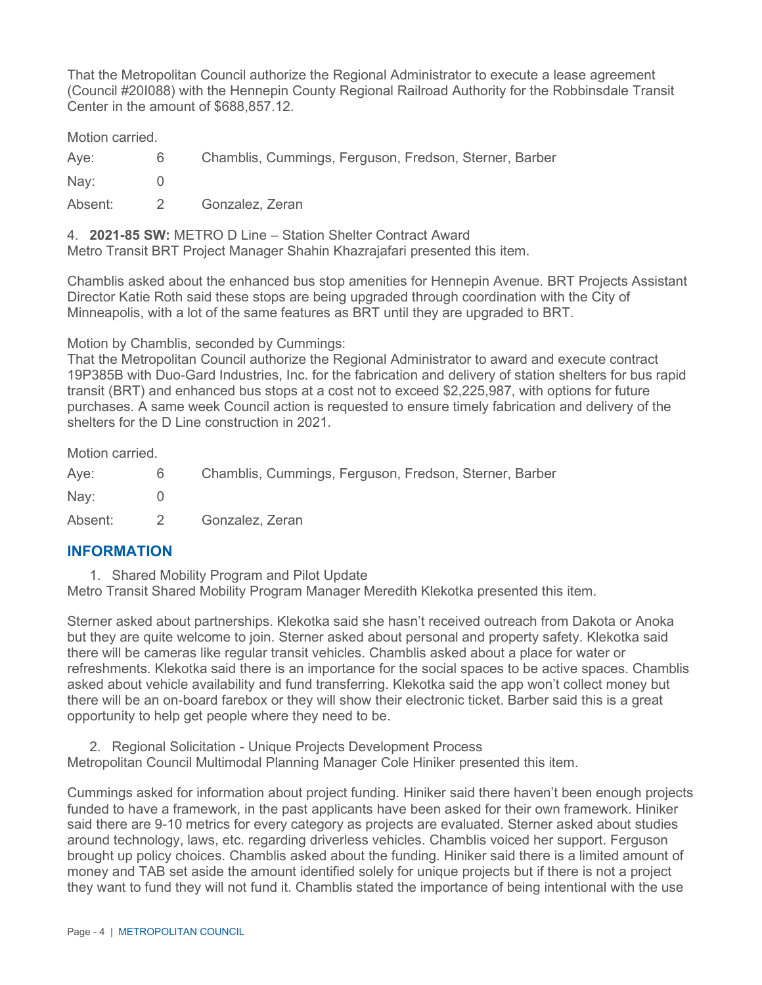That the Metropolitan Council authorize the Regional Administrator to execute a lease agreement (Council #20I088) with the Hennepin County Regional Railroad Authority for the Robbinsdale Transit Center in the amount of \$688,857.12.

Motion carried.

Aye: 6 Chamblis, Cummings, Ferguson, Fredson, Sterner, Barber Nav: 0

Absent: 2 Gonzalez, Zeran

4. **2021-85 SW:** METRO D Line – Station Shelter Contract Award

Metro Transit BRT Project Manager Shahin Khazrajafari presented this item.

Chamblis asked about the enhanced bus stop amenities for Hennepin Avenue. BRT Projects Assistant Director Katie Roth said these stops are being upgraded through coordination with the City of Minneapolis, with a lot of the same features as BRT until they are upgraded to BRT.

Motion by Chamblis, seconded by Cummings:

That the Metropolitan Council authorize the Regional Administrator to award and execute contract 19P385B with Duo-Gard Industries, Inc. for the fabrication and delivery of station shelters for bus rapid transit (BRT) and enhanced bus stops at a cost not to exceed \$2,225,987, with options for future purchases. A same week Council action is requested to ensure timely fabrication and delivery of the shelters for the D Line construction in 2021.

Motion carried.

Aye: 6 Chamblis, Cummings, Ferguson, Fredson, Sterner, Barber Nay: 0 Absent: 2 Gonzalez, Zeran

# **INFORMATION**

1. Shared Mobility Program and Pilot Update

Metro Transit Shared Mobility Program Manager Meredith Klekotka presented this item.

Sterner asked about partnerships. Klekotka said she hasn't received outreach from Dakota or Anoka but they are quite welcome to join. Sterner asked about personal and property safety. Klekotka said there will be cameras like regular transit vehicles. Chamblis asked about a place for water or refreshments. Klekotka said there is an importance for the social spaces to be active spaces. Chamblis asked about vehicle availability and fund transferring. Klekotka said the app won't collect money but there will be an on-board farebox or they will show their electronic ticket. Barber said this is a great opportunity to help get people where they need to be.

2. Regional Solicitation - Unique Projects Development Process

Metropolitan Council Multimodal Planning Manager Cole Hiniker presented this item.

Cummings asked for information about project funding. Hiniker said there haven't been enough projects funded to have a framework, in the past applicants have been asked for their own framework. Hiniker said there are 9-10 metrics for every category as projects are evaluated. Sterner asked about studies around technology, laws, etc. regarding driverless vehicles. Chamblis voiced her support. Ferguson brought up policy choices. Chamblis asked about the funding. Hiniker said there is a limited amount of money and TAB set aside the amount identified solely for unique projects but if there is not a project they want to fund they will not fund it. Chamblis stated the importance of being intentional with the use